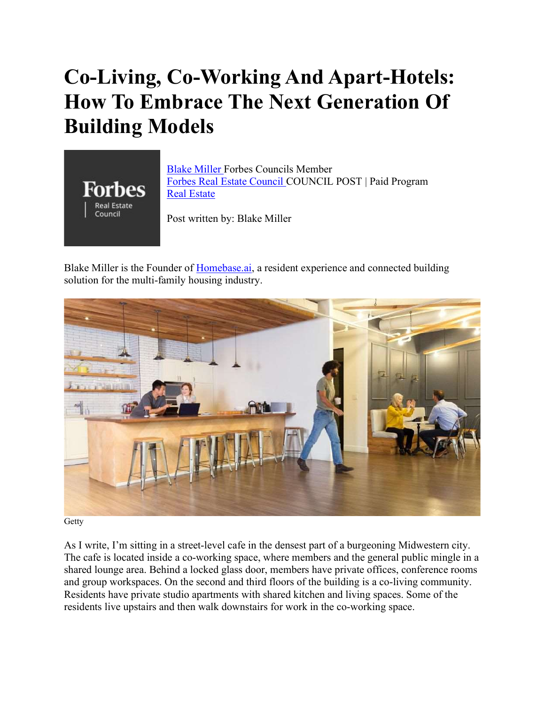## Co-Living, Co-Working And Apart-Hotels: How To Embrace The Next Generation Of Building Models



Blake Miller Forbes Councils Member Forbes Real Estate Council COUNCIL POST | Paid Program Real Estate

Post written by: Blake Miller

Blake Miller is the Founder of Homebase.ai, a resident experience and connected building solution for the multi-family housing industry.



Getty

As I write, I'm sitting in a street-level cafe in the densest part of a burgeoning Midwestern city. The cafe is located inside a co-working space, where members and the general public mingle in a shared lounge area. Behind a locked glass door, members have private offices, conference rooms and group workspaces. On the second and third floors of the building is a co-living community. Residents have private studio apartments with shared kitchen and living spaces. Some of the residents live upstairs and then walk downstairs for work in the co-working space.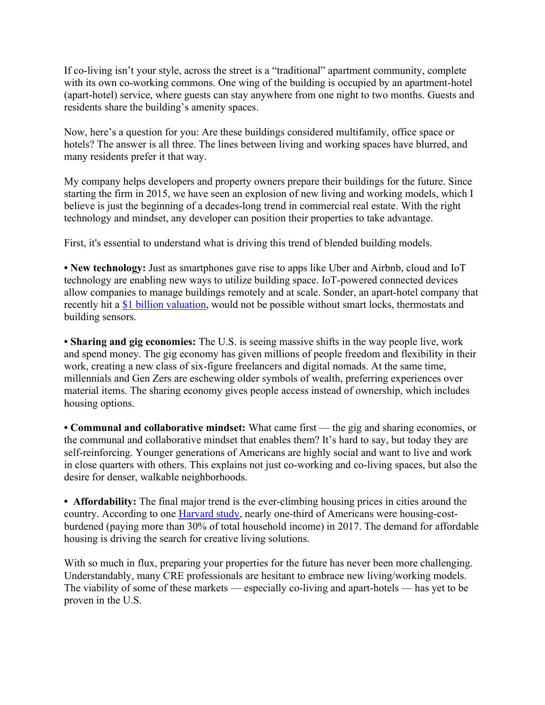If co-living isn't your style, across the street is a "traditional" apartment community, complete with its own co-working commons. One wing of the building is occupied by an apartment-hotel (apart-hotel) service, where guests can stay anywhere from one night to two months. Guests and residents share the building's amenity spaces.

Now, here's a question for you: Are these buildings considered multifamily, office space or hotels? The answer is all three. The lines between living and working spaces have blurred, and many residents prefer it that way.

My company helps developers and property owners prepare their buildings for the future. Since starting the firm in 2015, we have seen an explosion of new living and working models, which I believe is just the beginning of a decades-long trend in commercial real estate. With the right technology and mindset, any developer can position their properties to take advantage.

First, it's essential to understand what is driving this trend of blended building models.

• New technology: Just as smartphones gave rise to apps like Uber and Airbnb, cloud and IoT technology are enabling new ways to utilize building space. IoT-powered connected devices allow companies to manage buildings remotely and at scale. Sonder, an apart-hotel company that recently hit a \$1 billion valuation, would not be possible without smart locks, thermostats and building sensors.

• Sharing and gig economies: The U.S. is seeing massive shifts in the way people live, work and spend money. The gig economy has given millions of people freedom and flexibility in their work, creating a new class of six-figure freelancers and digital nomads. At the same time, millennials and Gen Zers are eschewing older symbols of wealth, preferring experiences over material items. The sharing economy gives people access instead of ownership, which includes housing options.

• Communal and collaborative mindset: What came first — the gig and sharing economies, or the communal and collaborative mindset that enables them? It's hard to say, but today they are self-reinforcing. Younger generations of Americans are highly social and want to live and work in close quarters with others. This explains not just co-working and co-living spaces, but also the desire for denser, walkable neighborhoods.

• Affordability: The final major trend is the ever-climbing housing prices in cities around the country. According to one Harvard study, nearly one-third of Americans were housing-costburdened (paying more than 30% of total household income) in 2017. The demand for affordable housing is driving the search for creative living solutions.

With so much in flux, preparing your properties for the future has never been more challenging. Understandably, many CRE professionals are hesitant to embrace new living/working models. The viability of some of these markets — especially co-living and apart-hotels — has yet to be proven in the U.S.